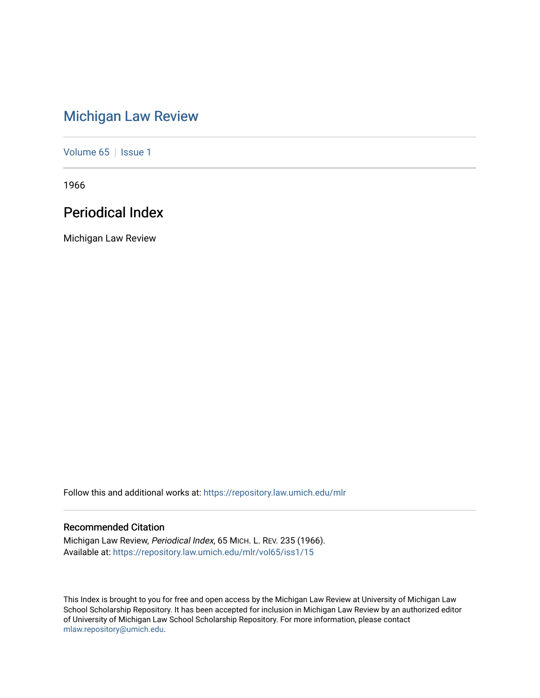# [Michigan Law Review](https://repository.law.umich.edu/mlr)

[Volume 65](https://repository.law.umich.edu/mlr/vol65) | [Issue 1](https://repository.law.umich.edu/mlr/vol65/iss1)

1966

# Periodical Index

Michigan Law Review

Follow this and additional works at: [https://repository.law.umich.edu/mlr](https://repository.law.umich.edu/mlr?utm_source=repository.law.umich.edu%2Fmlr%2Fvol65%2Fiss1%2F15&utm_medium=PDF&utm_campaign=PDFCoverPages) 

# Recommended Citation

Michigan Law Review, Periodical Index, 65 MICH. L. REV. 235 (1966). Available at: [https://repository.law.umich.edu/mlr/vol65/iss1/15](https://repository.law.umich.edu/mlr/vol65/iss1/15?utm_source=repository.law.umich.edu%2Fmlr%2Fvol65%2Fiss1%2F15&utm_medium=PDF&utm_campaign=PDFCoverPages) 

This Index is brought to you for free and open access by the Michigan Law Review at University of Michigan Law School Scholarship Repository. It has been accepted for inclusion in Michigan Law Review by an authorized editor of University of Michigan Law School Scholarship Repository. For more information, please contact [mlaw.repository@umich.edu.](mailto:mlaw.repository@umich.edu)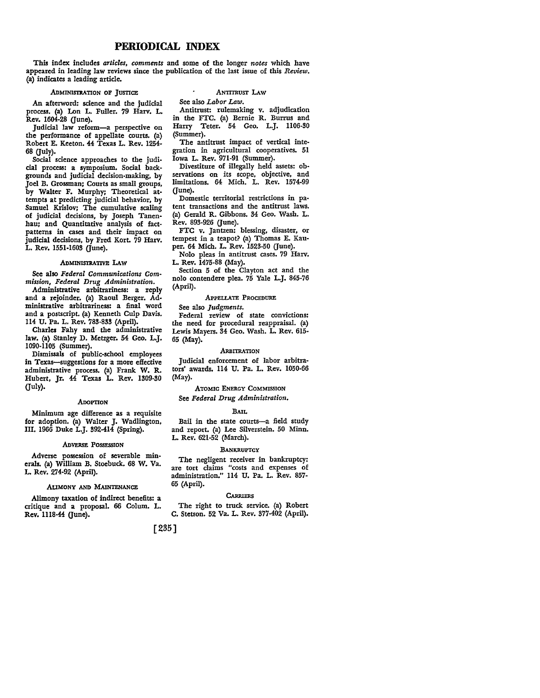# **PERIODICAL** INDEX

This index includes *articles, comments* and some of the longer *notes* which have appeared in leading law reviews since the publication of the last issue of this *Review.*  (a) indicates a leading article.

# ADMINISTRATION OF JUSTICE

# ANTITRUST LAW

See also *Labor Law.* 

An afterword: science and the judicial process. (a) Lon L. Fuller. 79 Harv. L. Rev. 1604-28 (June).

Judicial law reform-a perspective on the performance of appellate courts. (a) Robert E. Keeton. 44 Texas L. Rev. 1254• 68 (July).

Social science approaches to the judi• cial process: a symposium. Social backgrounds and judicial decision-making, by Joel B. Grossman; Courts as small groups, by Walter F. Murphy; Theoretical at• tempts at predicting judicial behavior, by Samuel Krislov; The cumulative scaling of judicial decisions, by Joseph Tanen· hau; and Quantitative analysis of fact• patterns in cases and their impact on judicial decisions, by Fred Kort. 79 Harv. L. Rev. 1551-1603 (June).

#### ADMINISTRATIVE LAW

See also *Federal Communications Com• mission, Federal Drug Administration.* 

Administrative arbitrariness: a reply and a rejoinder. (a) Raoul Berger. Ad· ministrative arbitrariness: a final word and a postscript. (a) Kenneth Culp Davis. 114 U. Pa. L. Rev. 783-833 (April).

Charles Fahy and the administrative law. (a) Stanley D. Metzger. 54 Geo. L.J. 1090-1105 (Summer).

Dismissals of public-school employees in Texas-suggestions for a more effective administrative process. (a) Frank W. R. Hubert, Jr. 44 Texas L. Rev. 1309-30 (July).

#### **ADOPTION**

Minimum age difference as a requisite for adoption. (a) Walter J. Wadlington, III. 1966 Duke L.J. 392-414 (Spring).

#### ADVERSE POSSESSION

Adverse possession of severable min• **erals.** (a) William B. Stoebuck. 68 W. Va. L. Rev. 274-92 (April).

#### ALIMONY AND MAINTENANCE

Alimony taxation of indirect benefits: a critique and a proposal. 66 Colum. L. Rev. 1118-44 (June).

Antitrust: rulemaking v. adjudication in the FTC. (a) Bernie R. Burrus and Harry Teter. 54 Geo. L.J. 1106-30 (Summer).

The antitrust impact of vertical integration in agricultural cooperatives. 51 Iowa L. Rev. 971-91 (Summer).

Divestiture of illegally held assets: ob• servations on its scope, objective, and limitations. 64 Mich. L. Rev. 1574-99 (June).

Domestic territorial restrictions in pa• tent transactions and the antitrust laws. (a) Gerald R. Gibbons. 34 Geo. Wash. L. Rev. 893-926 (June).

FTC v. Jantzen: blessing, disaster, or tempest in a teapot? (a) Thomas E. Kau• per. 64 Mich. L. Rev. 1523-50 (June).

Nolo pleas in antitrust cases. 79 Harv. L. Rev. 1475-88 (May).

Section 5 of the Clayton act and the nolo contendcre plea. 75 Yale L.J. 845-76 (April).

#### APPELLATE PROCEDURE

See also *Judgments.* 

Federal review of state convictions: the need for procedural reappraisal. (a) Lewis Mayers. 34 Geo. Wash. L. Rev. 615• 65 (May).

#### ARBITRATION

Judicial enforcement of labor arbitra• tors' awards. 114 U. Pa. L. Rev. 1050-66 (May).

ATOMIC ENERGY COMMISSION See *Federal Drug Administration.* 

#### **BAIL**

Bail in the state courts-a field study and report. (a) Lee Silverstein. 50 Minn. L. Rev. 621-52 (March).

#### **BANKRUPTCY**

The negligent receiver in bankruptcy: are tort claims "costs and expenses of administration." 114 U. Pa. L. Rev. 857• 65 (April).

#### **CARRIERS**

The right to truck service. (a) Robert C. Stetson. 52 Va. L. Rev. 377-402 (April).

# [235]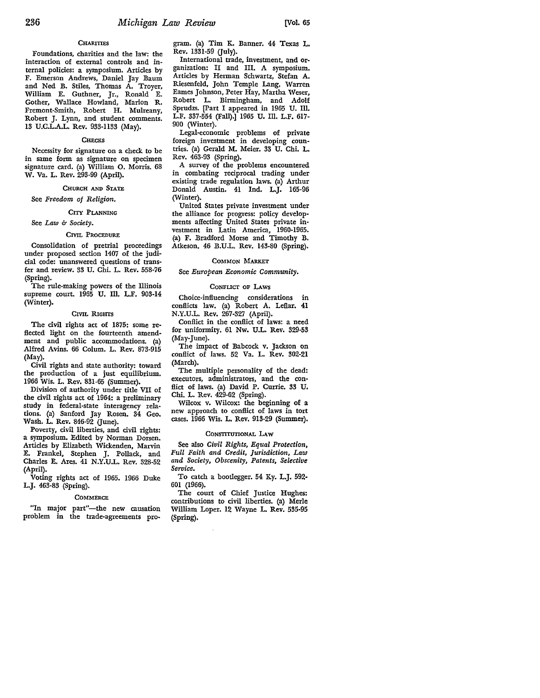# **CHARITIES**

Foundations, charities and the law: the interaction of external controls and internal policies: a symposium. Articles by F. Emerson Andrews, Daniel Jay Baum and Ned B. Stiles, Thomas A. Troyer, William E. Guthner, Jr., Ronald E. Gother, Wallace Howland, Marion R. Fremont-Smith, Robert H. Mulreany, Robert J. Lynn, and student comments. 13 U.C.L.A.L. Rev. 933-1133 (May).

# **CHECKS**

Necessity for signature on a check to be in same form as signature on specimen signature card. (a) William **O.** Morris. 68 **W.** Va. L. Rev. 293-99 (April).

# CHURCH AND STATE

See *Freedom of Religion.* 

### CITY PLANNING

# See *Law* b *Society.*

#### CIVIL PROCEDURE

Consolidation of pretrial proceedings under proposed section 1407 of the judicial code: unanswered questions of transfer and review. 33 U. Chi. L. Rev. 558-76 (Spring).

The rule-making powers of the Illinois supreme court. 1965 U. Ill. L.F. 903-14 (Winter).

#### CIVIL RIGHTS

The civil rights act of 1875: some reflected light on the fourteenth amendment and public accommodations. (a) Alfred Avins. 66 Colum. L. Rev. 873-915 (May).

Civil rights and state authority: toward the production of a just equilibrium. 1966 Wis. L. Rev. 831-65 (Summer).

Division of authority under title VII of the civil rights act of 1964: a preliminary study in federal-state interagency relations. (a) Sanford Jay Rosen. 34 Geo. Wash. L. Rev. 846-92 (June).

Poverty, civil liberties, and civil rights: a symposium. Edited by Norman Dorsen. Articles by Elizabeth Wickenden, Marvin E. Frankel, Stephen J. Pollack, and Charles E. Ares. 41 N.Y.U.L. Rev. 328-52 (April).

Voting rights act of 1965. 1966 Duke L.J. 463-83 (Spring).

#### **COMMERCE**

"In major part"-the new causation problem in the trade-agreements program. (a) Tim K. Banner. 44 Texas L.  $\bar{R}$ ev. 1331-59 (July).

International trade, investment, and organization: II and III. A symposium. Articles by Herman Schwartz, Stefan A. Riesenfeld, John Temple Lang, Warren Eames Johnson, Peter Hay, Martha Weser, Robert L. Birmingham, and Adolf Sprudzs. [Part I appeared in 1965 U. Ill. L.F. 337-554 (Fall).] 1965 U. Ill. L.F. 617- 900 (Winter).

Legal-economic problems of private foreign investment in developing countries. (a) Gerald M. Meier. 33 U. Chi. L. Rev. 463-93 (Spring).

A survey of the problems encountered in combating reciprocal trading under existing trade regulation laws. (a) Arthur Donald Austin. 41 Ind. L.J. 165-96 (Winter).

United States private investment under the alliance for progress: policy developments affecting United States private investment in Latin America, 1960-1965. (a) F. Bradford Morse and Timothy B. Atkeson. 46 B.U.L. Rev. 143-80 (Spring).

### COMMON MARKET

See *European Economic Community.* 

# CONFLICT OF LAWS

Choice-influencing considerations in conflicts law. (a) Robert A. Leflar. 41 N.Y.U.L. Rev. 267-327 (April).

Conflict in the conflict of laws: a need for uniformity. 61 Nw. U.L. Rev. 329-53 (May-June).

The impact of Babcock v. Jackson on conflict of laws. 52 Va. L. Rev. 302-21 (March).

The multiple personality of the dead: executors, administrators, and the conflict of laws. (a) David P. Currie. 33 U. Chi. L. Rev. 429-62 (Spring).

Wilcox v. Wilcox: the beginning of a new approach to conflict of laws in tort cases. 1966 Wis. L. Rev. 913-29 (Summer).

#### CONSTITUTIONAL LAW

See also *Civil Rights, Equal Protection, Full Faith and Credit, Jurisdiction, Law and Society, Obscenity, Patents, Selective Service.* 

To catch a bootlegger. 54 Ky. L.J. 592- 601 (1966).

The court of Chief Justice Hughes: contributions to civil liberties. (a) Merle William Loper. 12 Wayne L. Rev. 535-95 (Spring).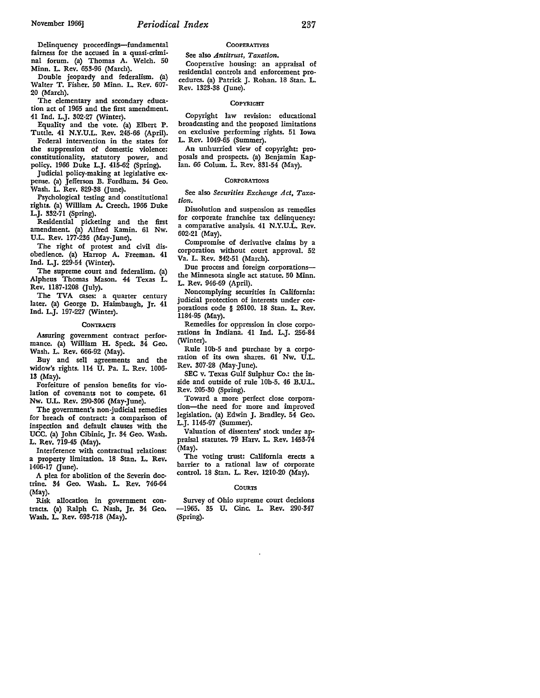Delinquency proceedings-fundamental fairness for the accused in a quasi-criminal forum. (a) Thomas A. Welch. 50 Minn. L. Rev. 653-96 (March).

Double jeopardy and federalism. (a) Walter T. Fisher. 50 Minn. L. Rev. 607- 20 (March).

The elementary and secondary education act of 1965 and the first amendment. 41 Ind. L.J. 302-27 (Winter).

Equality and the vote. (a) Elbert P. Tuttle. 41 N.Y.U.L. Rev. 245-66 (April).

Federal intervention in the states for the suppression of domestic violence: constitutionality, statutory power, and pohcy. 1966 Duke L.J. 415-62 (Spring).

Judicial policy-making at legislative expense. (a) Jefferson B. Fordham. 34 Geo. Wash. L. Rev. 829-38 (June).

Psychological testing and constitutional rights. (a) William A. Creech. 1966 Duke L.J. 332-71 (Spring).

Residential picketing and the first amendment. (a) Alfred Kamin. 61 Nw. U.L. Rev. 177-236 (May-June).

The right of protest and civil disobedience. (a) Harrop A. Freeman. 41 Ind. L.J. 229-54 (Winter).

The supreme court and federalism. (a) Alpheus Thomas Mason. 44 Texas L. Rev. 1187-1208 (July).

The TVA cases: a quarter century later. (a) George D. Haimbaugh, Jr. 41 Ind. L.J. 197-227 (Winter).

#### **CONTRACTS**

Assuring government contract performance. (a) William H. Speck. 34 Geo. Wash. L. Rev. 666-92 (May).

Buy and sell agreements and the widow's rights. 114 U. Pa. L. Rev. 1006- 13 (May).

Forfeiture of pension benefits for violation of covenants not to compete. 61 Nw. U.L. Rev. 290-306 (May-June).

The government's non-judicial remedies for breach of contract: a comparison of inspection and default clauses with the UCC. (a) John Cibinic, Jr. 34 Geo. Wash. L. Rev. 719-45 (May).

Interference with contractual relations: a property limitation. 18 Stan. L. Rev. 1406-17 (June).

A plea for abolition of the Severin doctrine. 34 Geo. Wash. L. Rev. 746-64 (May).

Risk allocation in government con• tracts. (a) Ralph C. Nash, Jr. 34 Geo. Wash. L. Rev. 693-718 (May).

# **COOPERATIVES**

See also *Antitrust, Taxation.* 

Cooperative housing: an appraisal of residential controls and enforcement procedures. (a) Patrick J. Rohan. 18 Stan. L. Rev. 1323-38 (June).

#### **COPYRIGHT**

Copyright law revision: educational broadcasting and the proposed limitations on exclusive performing rights. 51 Iowa L. Rev. 1049-65 (Summer).

An unhurried view of copyright: proposals and prospects. (a) Benjamin Kaplan. 66 Colum. L. Rev. 831-54 (May).

#### **CORPORATIONS**

See also *Securities Exchange Act, Taxation.* 

Dissolution and suspension as remedies for corporate franchise tax delinquency: a comparative analysis. 41 N.Y.U.L. Rev. 602-21 (May).

Compromise of derivative claims by a corporation without court approval. 52 Va. L. Rev. 342-51 (March).

Due process and foreign corporationsthe Minnesota single act statute. 50 Minn. L. Rev. 946-69 (April).

Noncomplying securities in California: judicial protection of interests under cor• porations code § 26100. 18 Stan. L, Rev. ll84-95 (May).

Remedies for oppression in close corporations in Indiana. 41 Ind. L.J. 256-84 (Winter).

Rule lOb-5 and purchase by a corporation of its own shares. 61 Nw. U.L. Rev. 307-28 (May-June).

SEC v. Texas Gulf Sulphur Co.: the in• side and outside of rule 10b-5. 46 B.U.L. Rev. 205-30 (Spring).

Toward a more perfect close corporation-the need for more and improved legislation. (a) Edwin J. Bradley. 54 Geo. L.J. ll45-97 (Summer).

Valuation of dissenters' stock under ap• praisal statutes. 79 Harv. L. **Rev.** 1453-74 (May).

The voting trust: California erects a barrier to a rational law of corporate control. 18 Stan. L. Rev. 1210-20 (May).

#### **COURTS**

Survey of Ohio supreme court decisions -1965. 35 U. Cine. L. Rev. 290-347 (Spring).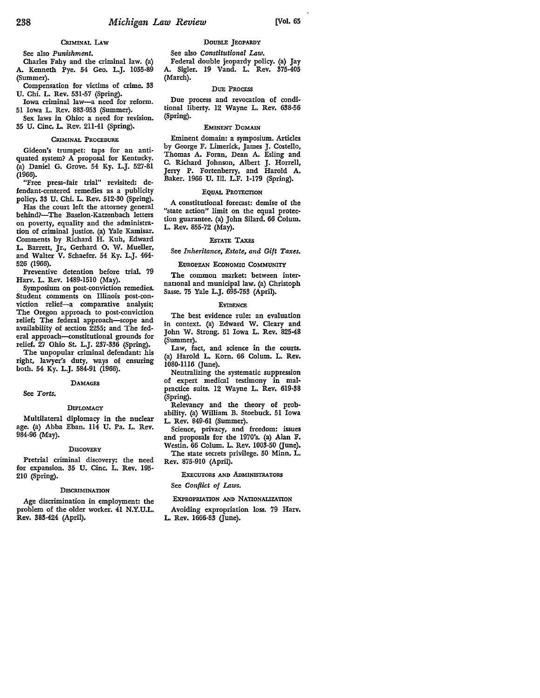# **CRIMINAL LAW**

# See also *Punishment.*

Charles Fahy and the criminal law. (a) A. Kenneth Pye. 54 Geo. L.J. 1055-89 (Summer).

Compensation for victims of crime. 33 U. Chi. L. Rev. 531-57 (Spring).

Iowa criminal law-a need for reform. 51 Iowa L. Rev. 883-953 (Summer).

Sex laws in Ohio: a need for revision. 35 U. Cine. L. Rev. 211-41 (Spring).

#### CRIMINAL PROCEDURE

Gideon's trumpet: taps for an antiquated system? A proposal for Kentucky. (a) Daniel G. Grove. 54 Ky. L.J. 527-81 (1966).

"Free press-fair trial" revisited: defendant-centered remedies as a publicity policy, 33 U. Chi. L. Rev. 512-30 (Spring).

Has the court left the attorney general behind?-The Baselon-Katzenbach letters on poverty, equality and the administration of criminal justice. (a) Yale Kamisar. Comments by Richard **H.** Kuh, Edward **L.** Barrett, Jr., Gerhard **0. W.** Mueller, and Walter V. Schaefer. 54 Ky. L.J. 464- 526 (1966).

Preventive detention before trial. 79 Harv. L. Rev. 1489-1510 (May).

Symposium on post-conviction remedies. Student comments on Illinois post-con• viction relief-a comparative analysis; The Oregon approach to post-conviction relief; The federal approach-scope and availability of section 2255; and The federal approach-constitutional grounds for relief. 27 Ohio St. L.J. 237-336 (Spring).

The unpopular criminal defendant: his right, lawyer's duty, ways of ensuring both. 54 Ky. L.J. 584-91 (1966).

#### **DAMAGES**

See *Torts.* 

# DIPLOMACY

Multilateral diplomacy in the nuclear age. (a) Abba Eban. 114 U. Pa. L. Rev. 984-96 (May).

#### **DISCOVERY**

Pretrial criminal discovery: the need for expansion. 35 U. Cine. L. Rev. 195- 210 (Spring).

#### **DISCRIMINATION**

Age discrimination in employment: the problem of the older worker. 41 N.Y.U.L. **Rev. 383-424 (April).** 

# DOUBLE JEOPARDY

See also *Constitutional Law.*  Federal double jeopardy policy. (a) Jay A. Sigler. 19 Vand. L. Rev. 375-405 (March).

#### DUE PROCESS

Due process and revocation of conditional liberty. 12 Wayne L. Rev. 638-56 (Spring).

#### EMINENT DOMAIN

Eminent domain: a symposium. Articles by George F. Limerick., James J. Costello, Thomas A. Foran, Dean A. Esling and C. Richard Johnson, Albert J. Horrell, Jerry P. Fortenberry, and Harold A. Baker. 1966 U. Ill. L.F. 1-179 (Spring).

#### EQUAL PROTECTION

A constitutional forecast: demise of the "state action" limit on the equal protec• tion guarantee. (a) John Silard. 66 Colum. L. Rev. 855-72 (May).

## EsTATE TAXES

See *Inheritance, Estate, and Gift Taxes.* 

#### EUROPEAN EcoNOMIC COMMUNITY

The common market: between internauonal and municipal law. (a) Christoph Sasse. 75 Yale L.J. 695-753 (April).

#### **EVIDENCE**

The best evidence rule: an evaluation in context. (a) Edward W. Cleary and John W. Strong. 51 Iowa L. Rev. 825-48 (Summer).

Law, fact, and science in the courts. (a) Harold L. Korn. 66 Colum. L. Rev. 1080-1116 (June).

Neutralizing the systematic suppression of expert medical testimony in mal• practice suits. 12 Wayne L. Rev. 619-38 (Spring).

Relevancy and the theory of prob• ability. (a) William B. Stoebuck. 51 Iowa L. Rev. 849-61 (Summer).

Science, privacy, and freedom: issues and proposals for the 1970's. (a) Alan F. Westin. 66 Colum. L. Rev. 1003-50 (June). The state secrets privilege. 50 Minn. L. Rev. 875-910 (April).

# ExECUTORS AND ADMINISTRATORS

See *Conflict of Laws.* 

# ExPROPRIATION AND NATIONALIZATION

Avoiding expropriation loss. 79 Harv. L. Rev. 1666-83 Gune).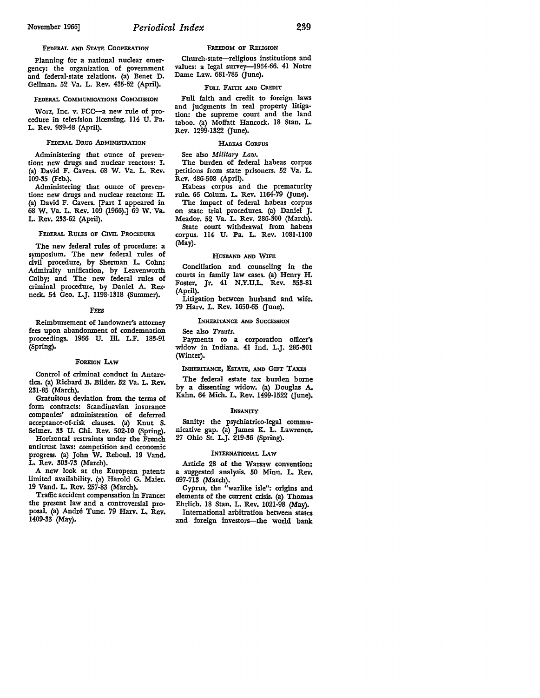Planning for a national nuclear emergency: the organization of government and federal-state relations. (a) Benet D. Gellman. 52 Va. L. Rev. 435-62 (April).

#### FEDERAL COMMUNICATIONS COMMISSION

Worz, Inc. v. FCC-a new rule of pro· cedure in television licensing. ll4 U. Pa. L. Rev. 939-48 (April).

# FEDERAL DRUG ADMINISTRATION

Administering that ounce of preven· tion: new drugs and nuclear reactors: I. (a) David F. Cavers. 68 W. Va. L. Rev, 109-35 (Feb.).

Administering that ounce of preven· tion: new drugs and nuclear reactors: II. (a) David F. Cavers. [Part I appeared in 68 W. Va. L. Rev. 109 (1966).] 69 W. Va. L. Rev. 233-62 (April).

# FEDERAL RULES OF CIVIL PROCEDURE

The new federal rules of procedure: a symposium. The new federal rules of civil procedure, by Sherman L. Cohn; Admiralty unification, by Leavenworth Colby; and The new federal rules of criminal procedure, by Daniel A. Rezneck.. 54 Geo. L.J. 1198-1318 (Summer).

#### FEES

Reimbursement of landowner's attorney fees upon abandonment of condemnation proceedings. 1966 U. Ill. L.F. 183-91 (Spring).

#### FOREIGN LAW

Control of criminal conduct in Antarc· tica. (a) Richard 13. Bilder. 52 Va. L. Rev. 231-85 (March).

Gratuitous deviation from the terms of form contracts: Scandinavian insurance companies' administration of deferred acceptance-of-risk clauses. (a) Knut S. Selmer. 33 U. Chi. Rev. 502-10 (Spring).

Horizontal restraints under the French antitrust laws: competition and economic progress. (a) John W. Reboul. 19 Vand. L. Rev. 303-73 (March).

A new look at the European patent: limited availability. (a) Harold G. Maier. 19 Vand. L. Rev. 257-83 (March).

Traffic accident compensation in France: the present law and a controversial pro• posal. (a) Andre Tune. 79 Harv. L. Rev. 1409-33 (May).

#### FREEDOM OF RELIGION

Church-state-religious institutions and values: a legal survey-1964-66. 41 Notre Dame Law. 681-785 (June).

# FULL FAITH AND CREDIT

Full faith and credit to foreign laws and judgments in real property litigation: the supreme court and the land taboo. (a) Moffatt Hancock. 18 Stan. L. Rev. 1299-1322 Gune).

# HABEAS CORPUS

See also *Military* Law.

The burden of federal habeas corpus petitions from state prisoners. 52 Va. L. Rev. 486-508 (April).

Habeas corpus and the prematurity rule. 66 Colum. L. Rev. 1164-79 (June).

The impact of federal habeas corpus on state trial procedures. (a) Daniel J. Meador. 52 Va. L. Rev. 286-300 (March). State court withdrawal from habeas corpus. 114 U. Pa. L. Rev. 1081-1100 (May).

# HUSBAND AND WIFE

Conciliation and counseling in the courts in family law cases. (a) Henry H. Foster, Jr. 41 N.Y.U.L. Rev. 353-81 (April).

Litigation between husband and wife. 79 Harv. L. Rev. 1650-65 (June).

### INHERITANCE AND SUCCESSION

See also *Trusts.* 

Payments to a corporation officer's widow in Indiana. 41 Ind. L.J. 285-301 (Winter).

#### INHERITANCE, EsTATE, AND GIFT TAXES

The federal estate tax burden borne by a dissenting widow. (a) Douglas A. Kahn. 64 Mich. L. Rev. 1499-1522 (June).

#### INSANITY

Sanity: the psychiatrico-legal communicative gap. (a) James K. L. Lawrence. 27 Ohio St. L.J. 219-36 (Spring).

#### INTERNATIONAL LAW

Article 28 of the Warsaw convention: a suggested analysis. 50 Minn. L. Rev. 697-713 (March).

Cyprus, the "warlike isle": origins and elements of the current crisis. (a) Thomas Ehrlich. 18 Stan, L. Rev. 1021-98 (May).

International arbitration between states and foreign investors-the world bank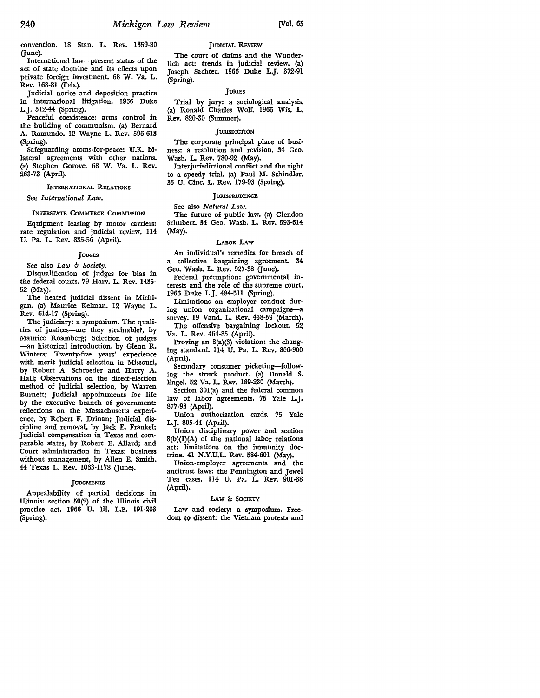convention. 18 Stan. L. **Rev.** 1359-80 (June).

International law-present status of the act of state doctrine and its effects upon private foreign investment. 68 **W.** Va. L. Rev. 168-81 (Feb.).

Judicial notice and deposition practice in international litigation. 1966 Duke L.J. 512-44 (Spring).

Peaceful coexistence: arms control in the building of communism. (a) Bernard A. Ramundo. 12 Wayne L. Rev. 596-613 (Spring). .

Safeguarding atoms-for-peace: U.K. bilateral agreements with other nations. (a) Stephen Gorove. 68 W. Va. L. Rev. 263-73 (April).

# INTERNATIONAL RELATIONS

See *International Law.* 

### INTERSTATE COMMERCE COMMISSION

Equipment leasing by motor carriers: rate regulation and judicial review. 114 U. Pa. L. Rev. 835-56 (April).

#### **TUDGES**

See also *Law b Society.* 

Disqualification of judges for bias in the federal courts. 79 Harv. L. Rev. 1435- 52 (May).

The heated judicial dissent in Michigan. (a) Maurice Kelman. 12 Wayne L. Rev. 614-17 (Spring).

The judiciary: a symposium. The qualities of justices-are they strainable?, by Maurice Rosenberg; Selection of judges -an historical introduction, by Glenn R. Winters; Twenty-five years' experience with merit judicial selection in Missouri, by Robert A. Schroeder and Harry A. Hall; Observations on the direct-election method of judicial selection, by Warren Burnett; Judicial appointments for life by the executive branch of government: reflections on the Massachusetts expenence, by Robert F. Drinan; Judicial discipline and removal, by Jack E. Frankel; Judicial compensation in Texas and comparable states, by Robert E. Allard; and Court administration in Texas: business without management, by Allen E. Smith. 44 Texas L. Rev. 1063-1178 (June).

#### **JUDGMENTS**

Appealability of partial decisions in Illinois: section 50(2) of the Illinois civil practice act. 1966 U. Ill. L.F. 191-203 (Spring).

### JUDICIAL REvlEW

The court of claims and the Wunderlich act: trends in judicial review. (a) Joseph Sachter. 1966 Duke L.J. 372-91 (Spring).

# JURIES

Trial by jury: a sociological analysis. (a) Ronald Charles Wolf. 1966 Wis. L. Rev. 820-30 (Summer).

#### JURISDICTION

The corporate principal place of business: a resolution and revision. 34 Geo. Wash. L. Rev. 780-92 (May).

Interjurisdictional conflict and the right to a speedy trial. (a) Paul M. Schindler. 35 U. Cine. L. Rev. 179-93 (Spring).

# **JURISPRUDENCE**

See also *Natural Law.* 

The future of public law. (a) Glendon Schubert. 34 Geo. Wash. L. Rev. 593-614 (May).

### l.ABoR **LAW**

An individual's remedies for breach of a collective bargaining agreement. 34 Geo. Wash. L. Rev. 927-38 (June).

Federal preemption: governmental interests and the role of the supreme court. 1966 Duke L.J. 484-511 (Spring).

Limitations on employer conduct dur• ing union organizational campaigns-a survey. 19 Vand. L. Rev. 438-59 (March). The offensive bargaining lockout. 52

Va. L. Rev. 464-85 (April).

Proving an 8(a)(3) violation: the changing standard. 114 U. Pa. L. Rev. 866-900 (April).

Secondary consumer picketing-following the struck product. (a) Donald S. Engel. 52 Va. L. Rev. 189-230 (March).

Section 30I(a) and the federal common law of labor agreements. 75 Yale L.J. 877-93 (April).

Union authorization cards. 75 Yale L.J. 805-44 (April).

Union disciplinary power and section 8(b)(I)(A) of the national labor relations act: limitations on the immunity doctrine. 41 N.Y.U.L. Rev. 584-601 (May).

Union-employer agreements and the antitrust laws: the Pennington and Jewel Tea cases. 114 U. Pa. L. Rev. 901-38 (April).

# LAW & SOCIETY

Law and society: a symposium. Freedom to dissent: the Vietnam protests and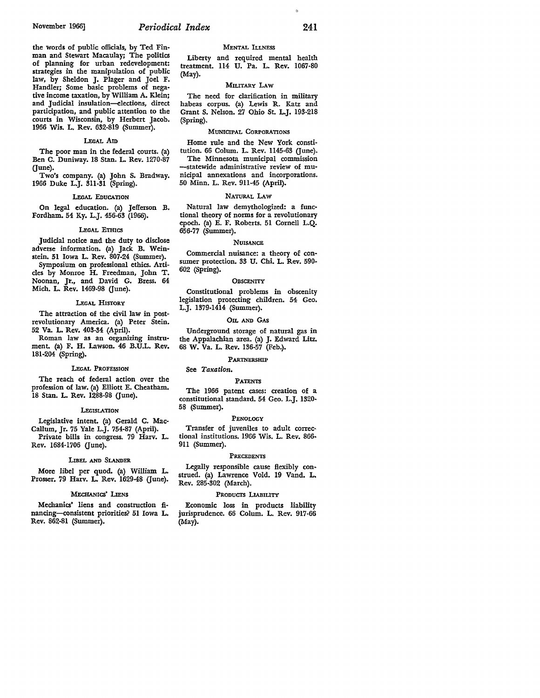the words of public officials, by Ted Finman and Stewart Macaulay; The politics of planning for urban redevelopment: strategies in the manipulation of public law, by Sheldon J. Plager and Joel F. Handler; Some basic problems of negative income taxation, by William A. Klein; and Judicial insulation-elections, direct participation, and public attention to the courts in Wisconsin, by Herbert Jacob. 1966 **Wis.** L. Rev. 632-819 (Summer).

#### LEGAL Am

The poor man in the federal courts. (a) Ben C. Duniway. 18 Stan. L. Rev. 1270-87 (June).

Two's company. (a) John 5. Bradway. 1966 Duke L.J. 311-31 (Spring).

#### LEGAL EDUCATION

On legal education. (a) Jefferson B. Fordham. 54 Ky. L.J. 456-63 (1966).

#### LEGAL ETHICS

Judicial notice and the duty to disclose adverse information. (a) Jack B. Weinstein. 51 Iowa L. Rev. 807-24 (Summer).

Symposium on professional ethics. Articles by Monroe H. Freedman, John T. Noonan, Jr., and David G. Bress. 64 Mich. L. Rev. 1469-98 (June).

#### LEGAL HlsTORY

The attraction of the civil law in postrevolutionary America. (a) Peter Stein. 52 Va. L. Rev. 403-34 (April).

Roman law as an organizing instrument. (a) F. H. Lawson. 46 B.U.L. Rev. 181-204 (Spring).

### LEGAL PROFESSION

The reach of federal action over the profession of law. (a) Elliott E. Cheatham. 18 Stan. L. Rev. 1288-98 (June).

#### **LEGISLATION**

Legislative intent. (a) Gerald C. Mac-Callum, Jr. 75 Yale L.J. 754-87 (April). Private bills in congress. 79 Harv. L. Rev. 1684-1706 (June).

#### LIBEL AND SLANDER

More libel per quod. (a) William L. Prosser. 79 Harv. L. Rev. 1629-48 (June).

# MECHANICS' LIENS

Mechanics' liens and construction financing-consistent priorities? 51 Iowa L. Rev. 862-81 (Summer).

# MENTAL ILLNESS

Liberty and required mental health treatment. 114 U. Pa. L. Rev. 1067-80 (May).

# MILITARY LAW

The need for clarification in military habeas corpus. (a) Lewis R. Katz and Grant S. Nelson. 27 Ohio St. L.J. 193-218 (Spring).

#### MUNICIPAL CORPORATIONS

Home rule and the New York constitution. 66 Colum. L. Rev. 1145-63 (June). The Minnesota municipal commission --statewide administrative review of municipal annexations and incorporations.

50 Minn. L. Rev. 911-45 (April).

#### NATURAL LAW

Natural law demythologized: a functional theory of norms for a revolutionary epoch. (a) E. F. Roberts. 51 Cornell L.Q. 656-77 (Summer).

#### **NUISANCE**

Commercial nuisance: a theory of consumer protection. 33 U. Chi. L. Rev. 590- 602 (Spring).

#### **OBSCENITY**

Constitutional problems in obscenity legislation protecting children. 54 Geo. L.J. 1379-1414 (Summer).

#### OIL AND GAS

Underground storage of natural gas in the Appalachian area. (a) J. Edward Litz. 68 W. Va. L. Rev. 136-57 (Feb.).

#### PARTNERSHIP

#### See *Taxation.*

#### PATENTS

The 1966 patent cases: creation of a constitutional standard. 54 Geo. L.J. 1320- 58 (Summer).

#### PENOLOGY

Transfer of juveniles to adult correc• tional institutions. 1966 Wis. L. Rev. 866- 911 (Summer).

#### PRECEDENTS

Legally responsible cause flexibly con• strued. (a) Lawrence Vold. 19 Vand. L. Rev. 285-302 (March).

# PRODUCTS LIABILITY

Economic loss in products liability jurisprudence. 66 Colum. L. Rev. 917-66 (May).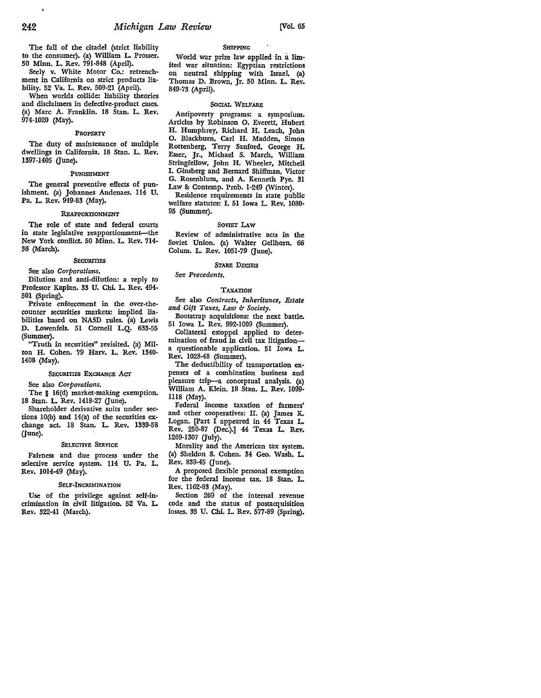The fall of the citadel (strict liability to the consumer). (a) William L. Prosser. 50 Minn. L. Rev. 791-848 (April).

Seely v. White Motor Co.: retrenchment in California on strict products lia• bility. 52 Va. L. Rev. 509-21 (April).

When worlds collide: liability theories and disclaimers in defective-product cases. (a) Marc A. Franklin. 18 Stan. L. Rev. 974-1020 (May).

#### PROPERTY

The duty of maintenance of multiple dwellings in California. 18 Stan. L. Rev. 1397-1405 (June).

#### PUNISHMENT

The general preventive effects of punishment. (a) Johannes Andenaes. 114 U. Pa. L. Rev. 949-83 (May).

#### REAPPORTIONMENT

The role of state and federal courts in state legislative reapportionment-the New York conflict. 50 Minn. L. Rev. 714- 36 (March).

#### **SECURITIES**

See also *Corporations.* 

Dilution and anti-dilution: a reply to Professor Kaplan. 33 U. Chi. L. Rev. 494- 501 (Spring).

Private enforcement in the over-thecounter securities markets: implied liabilities based on NASD rules. (a) Lewis D. Lowenfels. 51 Cornell L.Q. 633-55 (Summer).

"Truth in securities" revisited. (a) Milton H. Cohen. 79 Harv. L. Rev. 1340- 1408 (May),

#### SECURITIES EXCHANGE ACT

See also *Corporations,* 

The § 16(d) market-making exemption, 18 Stan. L. Rev. 1418-27 (June).

Shareholder derivative suits under sections lO(b) and 14(a) of the securities exchange act. 18 Stan. L. Rev. 1339-58 (June).

#### SELECTIVE SERVICE

Fairness and due process under the selective service system. 114 U. Pa. L. Rev. 1014-49 (May).

#### SELF-INCRIMINATION

Use of the privilege against self-incrimination in civil litigation. 52 Va. L Rev. 322-41 (March).

### **SHIPPING**

World war prize law applied in a limited war situation: Egyptian restrictions on neutral shipping with Israel, (a) Thomas D. Brown, Jr. 50 Minn. L. Rev. 849-73 (April).

### SOCIAL WELFARE

Antipoverty programs: a symposium. Articles by Robinson 0. Everett, Hubert H. Humphrey, Richard H. Leach, John 0. Blackburn, Carl H. Madden, Simon Rottenberg, Terry Sanford, George H. Esser, Jr., Michael S. March, William Stringfellow, John H. Wheeler, Mitchell I. Ginsberg and Bernard Shiffman, Victor G. Rosenblum, and A. Kenneth Pye, 31 Law & Contemp. Prob. 1-249 (Winter). Residence requirements in state public

welfare statutes: I. 51 Iowa L. Rev. 1080· 95 (Summer).

# SOVIET LAw

Review of administrative acts in the Soviet Union. (a) Walter Gellhorn. 66 Colum. L. Rev. 1051-79 (June).

### STARE DECISIS

# See *Precedents.*

#### TAXATION

See also *Contracts, Inheritance, Estate*  and Gift Taxes, Law & Society.

Bootstrap acquisitions: the next battle. 51 Iowa L Rev. 992-1009 (Summer).

Collateral estoppel applied to determination of fraud in civil tax litigationa questionable application. 51 Iowa L. Rev. 1028-48 (Summer).

The deductibility of transportation expenses of a combination business and pleasure trip-a conceptual analysis. (a) William A. Klein. 18 Stan. L. Rev. 1099· lll8 (May).

Federal income taxation of farmers' and other cooperatives: II. (a) James K, Logan. (Part I appeared in 44 Texas L. Rev. 250-87 (Dec.).] 44 Texas L. Rev. 1269-1307 (July).

Morality and the American tax system. (a) Sheldon S. Cohen. 34 Geo. Wash. L. Rev. 839-45 (June).

A proposed flexible personal exemption for the federal income tax. 18 Stan. L. Rev. ll62-83 (May).

Section 269 of the internal revenue code and the status of postacquisition losses. 33 U. Chi. L. Rev. 577-89 (Spring).

ó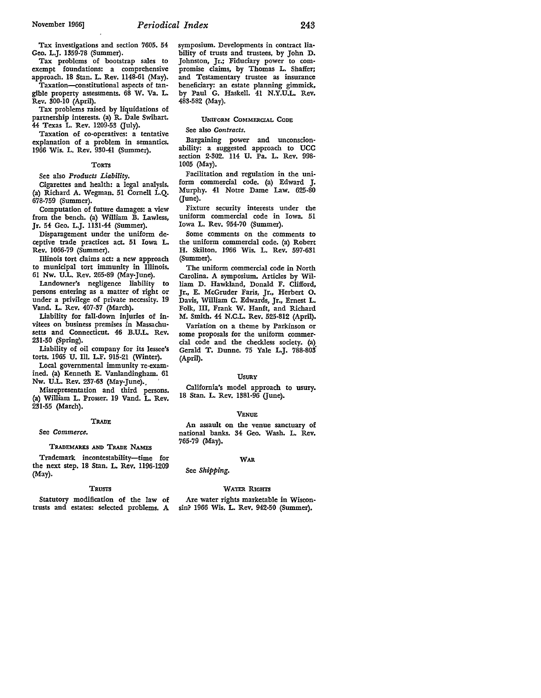Tax investigations and section 7605. 54 Geo. L.J. 1359-78 (Summer).

Tax problems of bootstrap sales to exempt foundations: a comprehensive approach. 18 Stan. L. Rev. 1148-61 (May).

Taxation-constitutional aspects of tangible property assessments. 68 W. Va. L. Rev. 300-10 (April).

Tax problems raised by liquidations of partnership interests. (a} R. Dale Swihart. 44 Texas L. Rev. 1209-53 Guly).

Taxation of co-operatives: a tentative explanation of a problem in semantics. 1966 Wis. L. Rev. 930-41 (Summer).

#### TORTS

See also *Products Liability.* 

Cigarettes and health: a legal analysis. (a) Richard A. Wegman. 51 Cornell L.Q. 678-759 (Summer).

Computation of future damages: a view from the bench. (a) William B. Lawless. Jr. 54 Geo. L.J. 1131-44 (Summer).

Disparagement under the uniform deceptive trade practices act. 51 Iowa L. Rev. 1066-79 (Summer).

Illinois tort claims act: a new approach to municipal tort immunity in Illinois. 61 Nw. U.L. Rev. 265-89 (May-June).

Landowner's negligence liability to persons entering as a matter of right or under a privilege of private necessity. 19 Vand. L. Rev. 407-37 (March).

Liability for fall-down injuries of invitees on business premises in Massachusetts and Connecticut. 46 B.U.L. Rev. 231-50 (Spring).

Liability of oil company for its lessee's torts. 1965 U. Ill. L.F. 915-21 (Winter).

Local governmental immunity re-examined. (a) Kenneth E. Vanlandingham. 61 Nw. U.L. Rev. 237-63 (May-June).. '

Misrepresentation and third persons. {a) William L. Prosser. 19 Vand. L. Rev. 231-55 (March).

# TRADE

See *Commerce.* 

# TRADEMARXS AND TRADE NAMES

Trademark incontestability-time for the next step. 18 Stan. L. Rev. 1196-1209 (May).

# TRUSTS

Statutory modification of the law of trusts and estates: selected problems. A symposium. Developments in contract liability of trusts and trustees, by John D. Johnston, Jr.; Fiduciary power to compromise claims, by Thomas L. Shaffer; and Testamentary trustee as insurance beneficiary: an estate planning gimmick, by Paul G. Haskell. 41 N.Y.U.L. Rev. 483-582 (May).

### UNIFORM COMMERCIAL CODE

See also *Contracts.* 

Bargaining power and unconscionability: a suggested approach to UCC section 2-302. 114 U. Pa. L. Rev. 998- 1005 (May).

Facilitation and regulation in the uniform commercial code. (a) Edward J. Murphy. 41 Notre Dame Law. 625-80 (June).

Fixture security interests under the uniform commercial code in Iowa. 51 Iowa L. Rev. 954-70 (Summer).

Some comments on the comments to the uniform commercial code. {a) Robert **H.** Skilton. 1966 Wis. L. Rev. 597-631 (Summer).

The uniform commercial code in North Carolina. A symposium. Articles by **Wil**liam D. Hawkland, Donald F. Clifford, Jr., E. McGruder Faris, Jr., Herbert **0.**  Davis, William C. Edwards, Jr., Ernest L. Folk, III, Frank W. Hanft, and Richard M. Smith. 44 N.C.L. Rev. 525-812 (April).

Variation on a theme by Parkinson or some proposals for the uniform commercial code and the checkless society. (a) Gerald T. Dunne. 75 Yale L.J. 788-803 (April).

#### USURY

California's model approach to usury. 18 Stan. L. Rev. 1381-96 (June).

# VENUE

An assault on the venue sanctuary of national banks. 34 Geo. Wash. L. Rev. 765-79 (May).

#### WAR

See *Shipping.* 

# WATER RIGHTS

Are water rights marketable in Wisconsin? 1966 Wis. L. Rev. 942-50 (Summer).